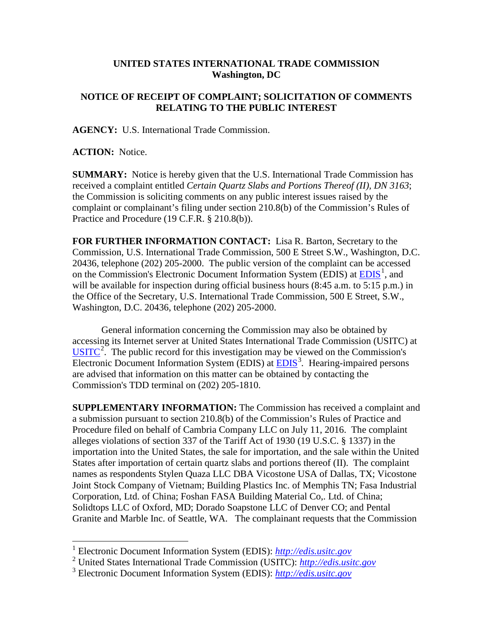## **UNITED STATES INTERNATIONAL TRADE COMMISSION Washington, DC**

## **NOTICE OF RECEIPT OF COMPLAINT; SOLICITATION OF COMMENTS RELATING TO THE PUBLIC INTEREST**

**AGENCY:** U.S. International Trade Commission.

**ACTION:** Notice.

**SUMMARY:** Notice is hereby given that the U.S. International Trade Commission has received a complaint entitled *Certain Quartz Slabs and Portions Thereof (II), DN 3163*; the Commission is soliciting comments on any public interest issues raised by the complaint or complainant's filing under section 210.8(b) of the Commission's Rules of Practice and Procedure (19 C.F.R. § 210.8(b)).

**FOR FURTHER INFORMATION CONTACT:** Lisa R. Barton, Secretary to the Commission, U.S. International Trade Commission, 500 E Street S.W., Washington, D.C. 20436, telephone (202) 205-2000. The public version of the complaint can be accessed on the Commission's Electronic Document Information System (EDIS) at  $\underline{EDIS}^1$  $\underline{EDIS}^1$ , and will be available for inspection during official business hours (8:45 a.m. to 5:15 p.m.) in the Office of the Secretary, U.S. International Trade Commission, 500 E Street, S.W., Washington, D.C. 20436, telephone (202) 205-2000.

General information concerning the Commission may also be obtained by accessing its Internet server at United States International Trade Commission (USITC) at  $\overline{USTTC}^2$  $\overline{USTTC}^2$ . The public record for this investigation may be viewed on the Commission's Electronic Document Information System (EDIS) at **EDIS**<sup>[3](#page-0-2)</sup>. Hearing-impaired persons are advised that information on this matter can be obtained by contacting the Commission's TDD terminal on (202) 205-1810.

**SUPPLEMENTARY INFORMATION:** The Commission has received a complaint and a submission pursuant to section 210.8(b) of the Commission's Rules of Practice and Procedure filed on behalf of Cambria Company LLC on July 11, 2016. The complaint alleges violations of section 337 of the Tariff Act of 1930 (19 U.S.C. § 1337) in the importation into the United States, the sale for importation, and the sale within the United States after importation of certain quartz slabs and portions thereof (II). The complaint names as respondents Stylen Quaza LLC DBA Vicostone USA of Dallas, TX; Vicostone Joint Stock Company of Vietnam; Building Plastics Inc. of Memphis TN; Fasa Industrial Corporation, Ltd. of China; Foshan FASA Building Material Co,. Ltd. of China; Solidtops LLC of Oxford, MD; Dorado Soapstone LLC of Denver CO; and Pental Granite and Marble Inc. of Seattle, WA. The complainant requests that the Commission

 <sup>1</sup> Electronic Document Information System (EDIS): *[http://edis.usitc.gov](http://edis.usitc.gov/)*

<span id="page-0-1"></span><span id="page-0-0"></span><sup>2</sup> United States International Trade Commission (USITC): *[http://edis.usitc.gov](http://edis.usitc.gov/)*

<span id="page-0-2"></span><sup>3</sup> Electronic Document Information System (EDIS): *[http://edis.usitc.gov](http://edis.usitc.gov/)*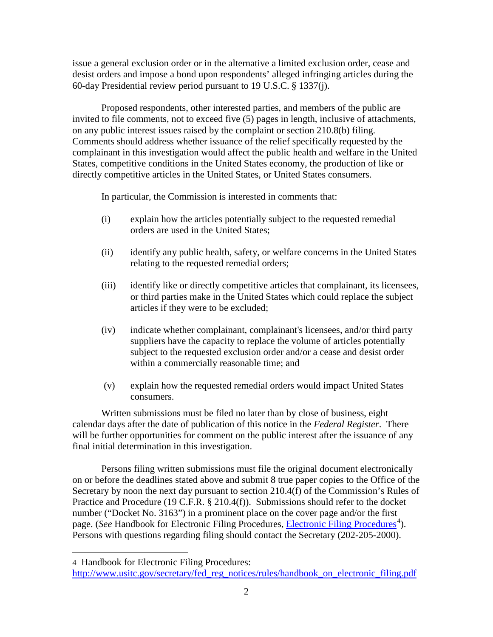issue a general exclusion order or in the alternative a limited exclusion order, cease and desist orders and impose a bond upon respondents' alleged infringing articles during the 60-day Presidential review period pursuant to 19 U.S.C. § 1337(j).

Proposed respondents, other interested parties, and members of the public are invited to file comments, not to exceed five (5) pages in length, inclusive of attachments, on any public interest issues raised by the complaint or section 210.8(b) filing. Comments should address whether issuance of the relief specifically requested by the complainant in this investigation would affect the public health and welfare in the United States, competitive conditions in the United States economy, the production of like or directly competitive articles in the United States, or United States consumers.

In particular, the Commission is interested in comments that:

- (i) explain how the articles potentially subject to the requested remedial orders are used in the United States;
- (ii) identify any public health, safety, or welfare concerns in the United States relating to the requested remedial orders;
- (iii) identify like or directly competitive articles that complainant, its licensees, or third parties make in the United States which could replace the subject articles if they were to be excluded;
- (iv) indicate whether complainant, complainant's licensees, and/or third party suppliers have the capacity to replace the volume of articles potentially subject to the requested exclusion order and/or a cease and desist order within a commercially reasonable time; and
- (v) explain how the requested remedial orders would impact United States consumers.

Written submissions must be filed no later than by close of business, eight calendar days after the date of publication of this notice in the *Federal Register*. There will be further opportunities for comment on the public interest after the issuance of any final initial determination in this investigation.

Persons filing written submissions must file the original document electronically on or before the deadlines stated above and submit 8 true paper copies to the Office of the Secretary by noon the next day pursuant to section 210.4(f) of the Commission's Rules of Practice and Procedure (19 C.F.R. § 210.4(f)). Submissions should refer to the docket number ("Docket No. 3163") in a prominent place on the cover page and/or the first page. (*See* Handbook for [Electronic Filing Procedures](http://www.usitc.gov/secretary/fed_reg_notices/rules/handbook_on_electronic_filing.pdf), *Electronic Filing Procedures*<sup>[4](#page-1-0)</sup>). Persons with questions regarding filing should contact the Secretary (202-205-2000).

 $\overline{a}$ 

<span id="page-1-0"></span><sup>4</sup> Handbook for Electronic Filing Procedures:

http://www.usitc.gov/secretary/fed\_reg\_notices/rules/handbook\_on\_electronic\_filing.pdf